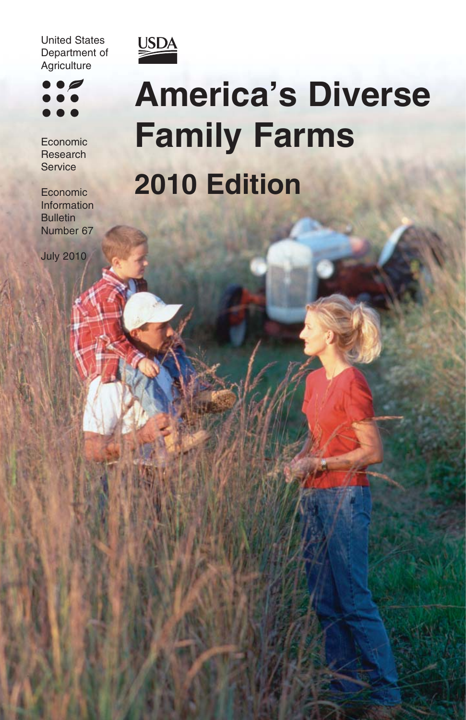United States Department of **Agriculture** 



Economic Research **Service** 

Economic Information **Bulletin** Number 67

July 2010



# **America's Diverse Family Farms 2010 Edition**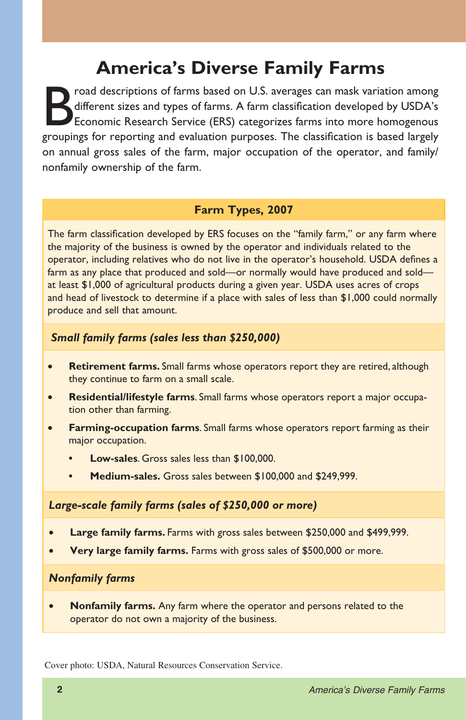## **America's Diverse Family Farms**

Froad descriptions of farms based on U.S. averages can mask variation among<br>different sizes and types of farms. A farm classification developed by USDA's<br>Economic Research Service (ERS) categorizes farms into more homogeno different sizes and types of farms. A farm classification developed by USDA's Economic Research Service (ERS) categorizes farms into more homogenous groupings for reporting and evaluation purposes. The classification is based largely on annual gross sales of the farm, major occupation of the operator, and family/ nonfamily ownership of the farm.

#### **Farm Types, 2007**

The farm classification developed by ERS focuses on the "family farm," or any farm where the majority of the business is owned by the operator and individuals related to the operator, including relatives who do not live in the operator's household. USDA defines a farm as any place that produced and sold—or normally would have produced and sold at least \$1,000 of agricultural products during a given year. USDA uses acres of crops and head of livestock to determine if a place with sales of less than \$1,000 could normally produce and sell that amount.

#### *Small family farms (sales less than \$250,000)*

- **Retirement farms.** Small farms whose operators report they are retired, although they continue to farm on a small scale.
- • **Residential/lifestyle farms**. Small farms whose operators report a major occupation other than farming.
- **Farming-occupation farms**. Small farms whose operators report farming as their major occupation.
	- **Low-sales**. Gross sales less than \$100,000.
	- **Medium-sales.** Gross sales between \$100,000 and \$249,999.

#### *Large-scale family farms (sales of \$250,000 or more)*

- • **Large family farms.** Farms with gross sales between \$250,000 and \$499,999.
- **Very large family farms.** Farms with gross sales of \$500,000 or more.

#### *Nonfamily farms*

• **Nonfamily farms.** Any farm where the operator and persons related to the operator do not own a majority of the business.

Cover photo: USDA, Natural Resources Conservation Service.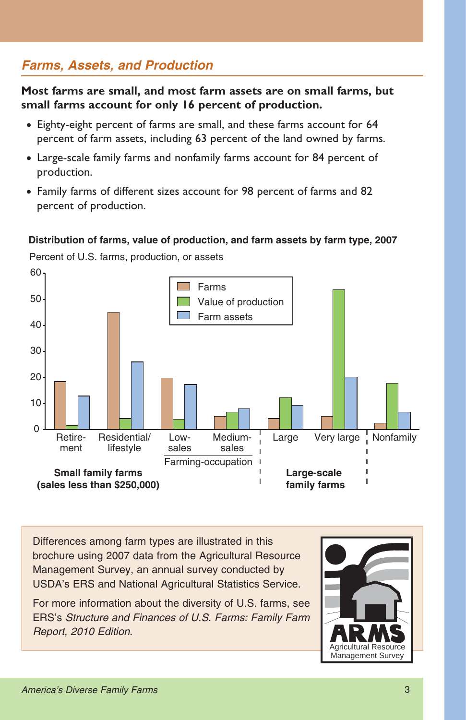## *Farms, Assets, and Production*

**Most farms are small, and most farm assets are on small farms, but small farms account for only 16 percent of production.**

- Eighty-eight percent of farms are small, and these farms account for 64 percent of farm assets, including 63 percent of the land owned by farms.
- Large-scale family farms and nonfamily farms account for 84 percent of production.
- Family farms of different sizes account for 98 percent of farms and 82 percent of production.

#### **Distribution of farms, value of production, and farm assets by farm type, 2007**

Percent of U.S. farms, production, or assets



Differences among farm types are illustrated in this brochure using 2007 data from the Agricultural Resource Management Survey, an annual survey conducted by USDA's ERS and National Agricultural Statistics Service.

For more information about the diversity of U.S. farms, see ERS's *Structure and Finances of U.S. Farms: Family Farm Report, 2010 Edition*.

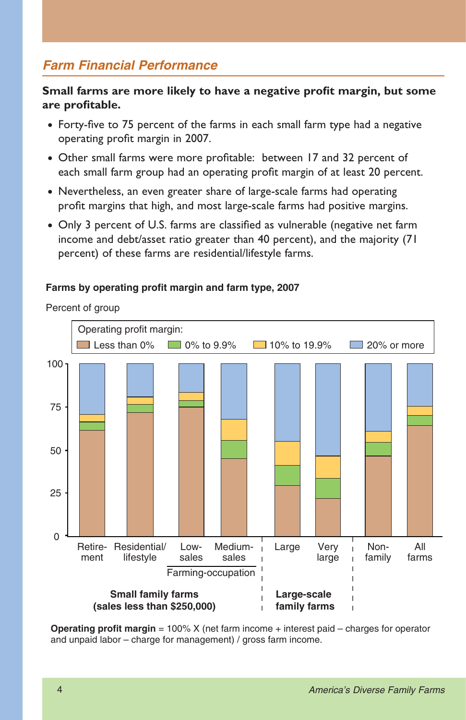## *Farm Financial Performance*

#### **Small farms are more likely to have a negative profit margin, but some are profi table.**

- Forty-five to 75 percent of the farms in each small farm type had a negative operating profit margin in 2007.
- Other small farms were more profitable: between 17 and 32 percent of each small farm group had an operating profit margin of at least 20 percent.
- Nevertheless, an even greater share of large-scale farms had operating profit margins that high, and most large-scale farms had positive margins.
- Only 3 percent of U.S. farms are classified as vulnerable (negative net farm income and debt/asset ratio greater than 40 percent), and the majority (71 percent) of these farms are residential/lifestyle farms.

#### **Farms by operating profit margin and farm type, 2007**

Percent of group



**Operating profit margin** = 100% X (net farm income + interest paid – charges for operator and unpaid labor – charge for management) / gross farm income.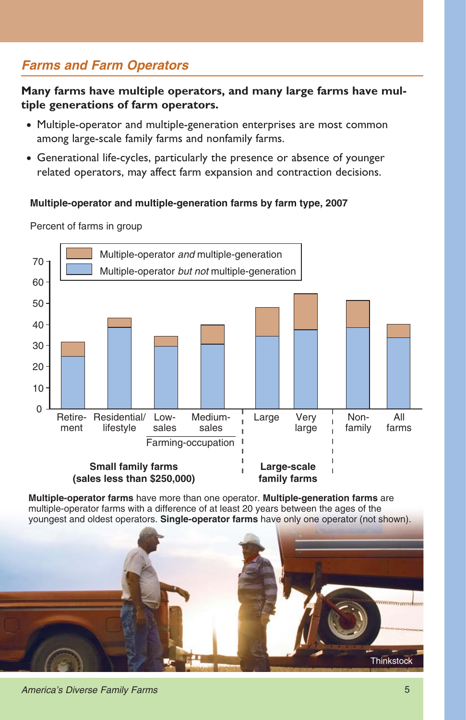## *Farms and Farm Operators*

**Many farms have multiple operators, and many large farms have multiple generations of farm operators.**

- Multiple-operator and multiple-generation enterprises are most common among large-scale family farms and nonfamily farms.
- Generational life-cycles, particularly the presence or absence of younger related operators, may affect farm expansion and contraction decisions.

#### **Multiple-operator and multiple-generation farms by farm type, 2007**



Percent of farms in group

**Multiple-operator farms** have more than one operator. **Multiple-generation farms** are multiple-operator farms with a difference of at least 20 years between the ages of the youngest and oldest operators. **Single-operator farms** have only one operator (not shown).

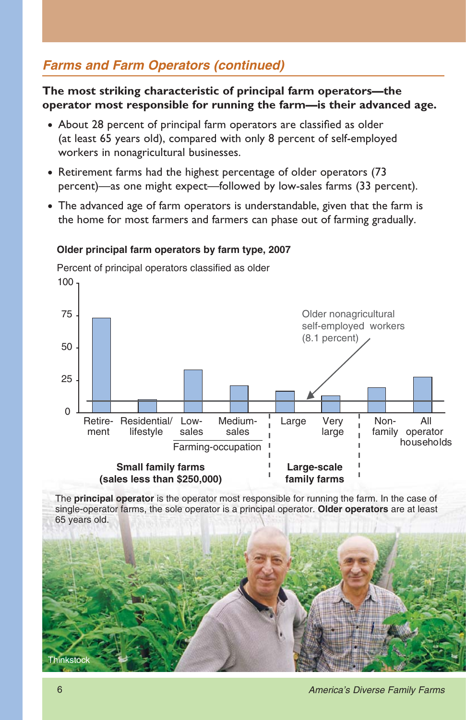## *Farms and Farm Operators (continued)*

**The most striking characteristic of principal farm operators—the operator most responsible for running the farm—is their advanced age.**

- About 28 percent of principal farm operators are classified as older (at least 65 years old), compared with only 8 percent of self-employed workers in nonagricultural businesses.
- Retirement farms had the highest percentage of older operators (73 percent)—as one might expect—followed by low-sales farms (33 percent).
- The advanced age of farm operators is understandable, given that the farm is the home for most farmers and farmers can phase out of farming gradually.

#### **Older principal farm operators by farm type, 2007**

Percent of principal operators classified as older



The **principal operator** is the operator most responsible for running the farm. In the case of single-operator farms, the sole operator is a principal operator. **Older operators** are at least 65 years old.

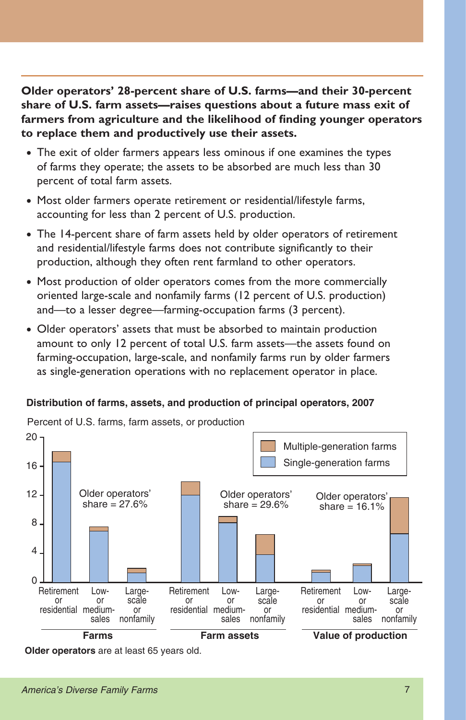**Older operators' 28-percent share of U.S. farms—and their 30-percent share of U.S. farm assets—raises questions about a future mass exit of**  farmers from agriculture and the likelihood of finding younger operators **to replace them and productively use their assets.**

- The exit of older farmers appears less ominous if one examines the types of farms they operate; the assets to be absorbed are much less than 30 percent of total farm assets.
- Most older farmers operate retirement or residential/lifestyle farms, accounting for less than 2 percent of U.S. production.
- The 14-percent share of farm assets held by older operators of retirement and residential/lifestyle farms does not contribute significantly to their production, although they often rent farmland to other operators.
- Most production of older operators comes from the more commercially oriented large-scale and nonfamily farms (12 percent of U.S. production) and—to a lesser degree—farming-occupation farms (3 percent).
- Older operators' assets that must be absorbed to maintain production amount to only 12 percent of total U.S. farm assets—the assets found on farming-occupation, large-scale, and nonfamily farms run by older farmers as single-generation operations with no replacement operator in place.

#### **Distribution of farms, assets, and production of principal operators, 2007**

 $20 -$ 16 12 8 4  $\overline{0}$ **Retirement** or residential medium-Lowor sales Largescale or nonfamily **Retirement** or residential medium-Lowor sales Largescale or nonfamily **Retirement** or residential medium-Lowor sales Largescale or nonfamily **Farms Farm assets Value of production** Multiple-generation farms Single-generation farms Older operators' share  $= 27.6%$ Older operators' Older operators' share  $= 16.1%$ 

Percent of U.S. farms, farm assets, or production

**Older operators** are at least 65 years old.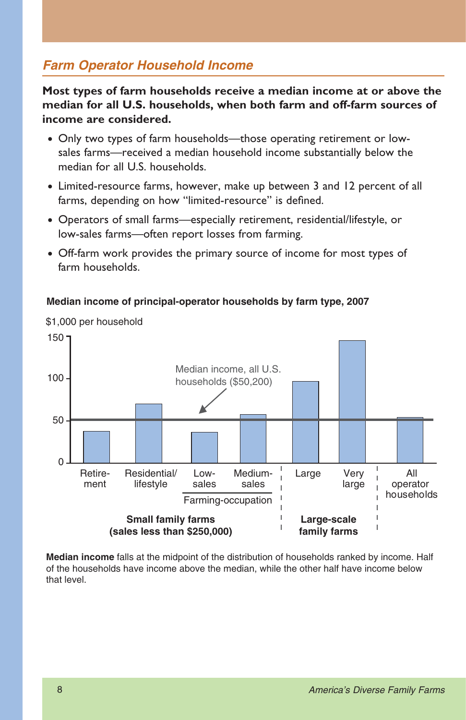## *Farm Operator Household Income*

**Most types of farm households receive a median income at or above the median for all U.S. households, when both farm and off-farm sources of income are considered.**

- Only two types of farm households—those operating retirement or lowsales farms—received a median household income substantially below the median for all U.S. households.
- Limited-resource farms, however, make up between 3 and 12 percent of all farms, depending on how "limited-resource" is defined.
- Operators of small farms—especially retirement, residential/lifestyle, or low-sales farms—often report losses from farming.
- Off-farm work provides the primary source of income for most types of farm households.



#### **Median income of principal-operator households by farm type, 2007**

**Median income** falls at the midpoint of the distribution of households ranked by income. Half of the households have income above the median, while the other half have income below that level.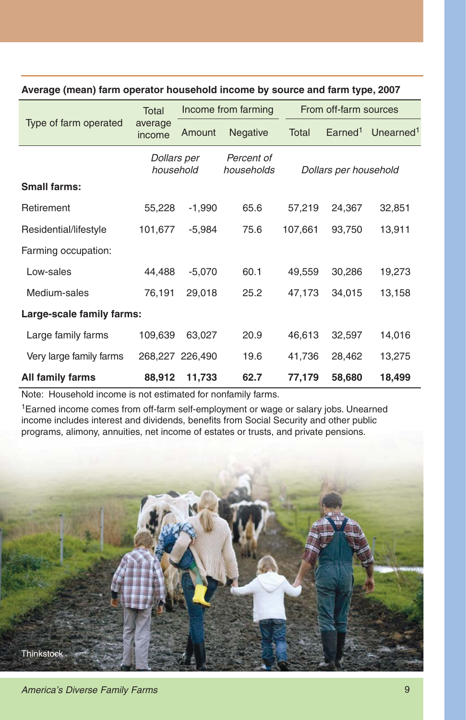| Type of farm operated     | Total<br>average<br>income | Income from farming |                          | From off-farm sources |                     |                       |
|---------------------------|----------------------------|---------------------|--------------------------|-----------------------|---------------------|-----------------------|
|                           |                            | Amount              | <b>Negative</b>          | Total                 | Earned <sup>1</sup> | Unearned <sup>1</sup> |
|                           | Dollars per<br>household   |                     | Percent of<br>households | Dollars per household |                     |                       |
| <b>Small farms:</b>       |                            |                     |                          |                       |                     |                       |
| Retirement                | 55,228                     | $-1,990$            | 65.6                     | 57,219                | 24,367              | 32,851                |
| Residential/lifestyle     | 101,677                    | $-5,984$            | 75.6                     | 107,661               | 93,750              | 13,911                |
| Farming occupation:       |                            |                     |                          |                       |                     |                       |
| Low-sales                 | 44,488                     | $-5,070$            | 60.1                     | 49,559                | 30,286              | 19,273                |
| Medium-sales              | 76,191                     | 29,018              | 25.2                     | 47,173                | 34,015              | 13,158                |
| Large-scale family farms: |                            |                     |                          |                       |                     |                       |
| Large family farms        | 109,639                    | 63,027              | 20.9                     | 46,613                | 32,597              | 14,016                |
| Very large family farms   |                            | 268,227 226,490     | 19.6                     | 41,736                | 28,462              | 13,275                |
| All family farms          | 88,912                     | 11,733              | 62.7                     | 77,179                | 58,680              | 18,499                |

#### **Average (mean) farm operator household income by source and farm type, 2007**

Note: Household income is not estimated for nonfamily farms.

1Earned income comes from off-farm self-employment or wage or salary jobs. Unearned income includes interest and dividends, benefits from Social Security and other public programs, alimony, annuities, net income of estates or trusts, and private pensions.

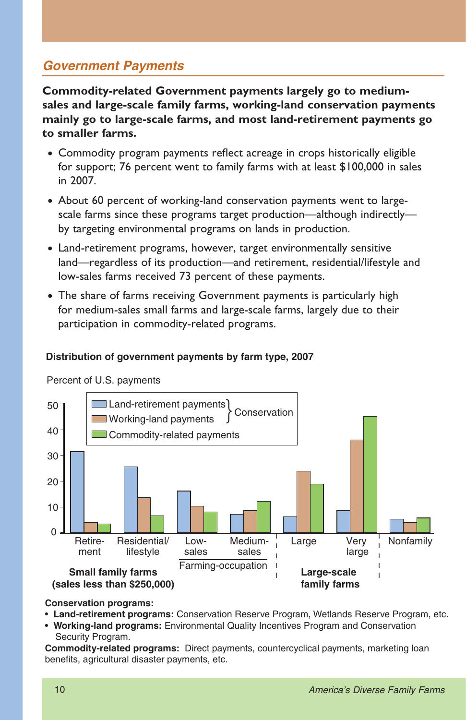## *Government Payments*

**Commodity-related Government payments largely go to mediumsales and large-scale family farms, working-land conservation payments mainly go to large-scale farms, and most land-retirement payments go to smaller farms.**

- Commodity program payments reflect acreage in crops historically eligible for support; 76 percent went to family farms with at least \$100,000 in sales in 2007.
- About 60 percent of working-land conservation payments went to largescale farms since these programs target production—although indirectly by targeting environmental programs on lands in production.
- Land-retirement programs, however, target environmentally sensitive land—regardless of its production—and retirement, residential/lifestyle and low-sales farms received 73 percent of these payments.
- The share of farms receiving Government payments is particularly high for medium-sales small farms and large-scale farms, largely due to their participation in commodity-related programs.

#### **Distribution of government payments by farm type, 2007**



Percent of U.S. payments

#### **Conservation programs:**

- **Land-retirement programs:** Conservation Reserve Program, Wetlands Reserve Program, etc.
- s**Working-land programs:** Environmental Quality Incentives Program and Conservation Security Program.

**Commodity-related programs:** Direct payments, countercyclical payments, marketing loan benefits, agricultural disaster payments, etc.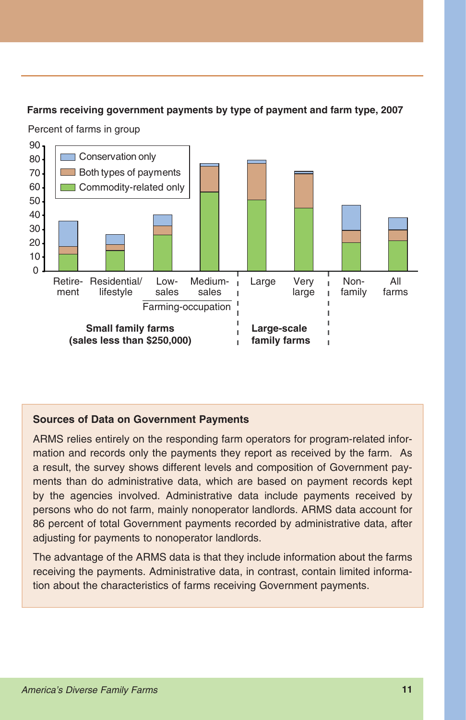#### **Farms receiving government payments by type of payment and farm type, 2007**

Percent of farms in group



#### **Sources of Data on Government Payments**

ARMS relies entirely on the responding farm operators for program-related information and records only the payments they report as received by the farm. As a result, the survey shows different levels and composition of Government payments than do administrative data, which are based on payment records kept by the agencies involved. Administrative data include payments received by persons who do not farm, mainly nonoperator landlords. ARMS data account for 86 percent of total Government payments recorded by administrative data, after adjusting for payments to nonoperator landlords.

The advantage of the ARMS data is that they include information about the farms receiving the payments. Administrative data, in contrast, contain limited information about the characteristics of farms receiving Government payments.